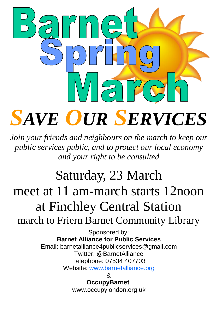

*Join your friends and neighbours on the march to keep our public services public, and to protect our local economy and your right to be consulted*

## Saturday, 23 March meet at 11 am-march starts 12noon at Finchley Central Station march to Friern Barnet Community Library

Sponsored by: **Barnet Alliance for Public Services** Email: barnetalliance4publicservices@gmail.com Twitter: @BarnetAlliance Telephone: 07534 407703 Website: [www.barnetalliance.org](http://www.barnetalliance.org/)

> & **OccupyBarnet** www.occupylondon.org.uk